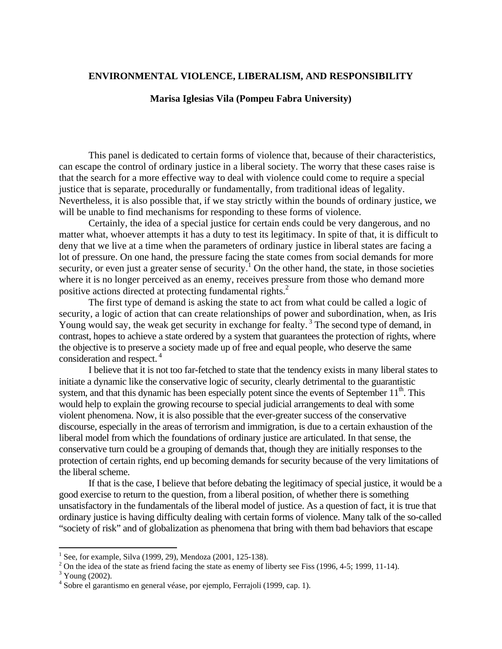### **ENVIRONMENTAL VIOLENCE, LIBERALISM, AND RESPONSIBILITY**

# **Marisa Iglesias Vila (Pompeu Fabra University)**

This panel is dedicated to certain forms of violence that, because of their characteristics, can escape the control of ordinary justice in a liberal society. The worry that these cases raise is that the search for a more effective way to deal with violence could come to require a special justice that is separate, procedurally or fundamentally, from traditional ideas of legality. Nevertheless, it is also possible that, if we stay strictly within the bounds of ordinary justice, we will be unable to find mechanisms for responding to these forms of violence.

Certainly, the idea of a special justice for certain ends could be very dangerous, and no matter what, whoever attempts it has a duty to test its legitimacy. In spite of that, it is difficult to deny that we live at a time when the parameters of ordinary justice in liberal states are facing a lot of pressure. On one hand, the pressure facing the state comes from social demands for more security, or even just a greater sense of security.<sup>1</sup> On the other hand, the state, in those societies where it is no longer perceived as an enemy, receives pressure from those who demand more positive actions directed at protecting fundamental rights.<sup>2</sup>

The first type of demand is asking the state to act from what could be called a logic of security, a logic of action that can create relationships of power and subordination, when, as Iris Young would say, the weak get security in exchange for fealty.<sup>3</sup> The second type of demand, in contrast, hopes to achieve a state ordered by a system that guarantees the protection of rights, where the objective is to preserve a society made up of free and equal people, who deserve the same consideration and respect. 4

I believe that it is not too far-fetched to state that the tendency exists in many liberal states to initiate a dynamic like the conservative logic of security, clearly detrimental to the guarantistic system, and that this dynamic has been especially potent since the events of September  $11<sup>th</sup>$ . This would help to explain the growing recourse to special judicial arrangements to deal with some violent phenomena. Now, it is also possible that the ever-greater success of the conservative discourse, especially in the areas of terrorism and immigration, is due to a certain exhaustion of the liberal model from which the foundations of ordinary justice are articulated. In that sense, the conservative turn could be a grouping of demands that, though they are initially responses to the protection of certain rights, end up becoming demands for security because of the very limitations of the liberal scheme.

If that is the case, I believe that before debating the legitimacy of special justice, it would be a good exercise to return to the question, from a liberal position, of whether there is something unsatisfactory in the fundamentals of the liberal model of justice. As a question of fact, it is true that ordinary justice is having difficulty dealing with certain forms of violence. Many talk of the so-called "society of risk" and of globalization as phenomena that bring with them bad behaviors that escape

1

<sup>&</sup>lt;sup>1</sup> See, for example, Silva (1999, 29), Mendoza (2001, 125-138).

<sup>&</sup>lt;sup>2</sup> On the idea of the state as friend facing the state as enemy of liberty see Fiss (1996, 4-5; 1999, 11-14).  $\frac{3 \text{ V} \cdot \text{C}}{2002}$ 

 $3$  Young (2002).

<sup>4</sup> Sobre el garantismo en general véase, por ejemplo, Ferrajoli (1999, cap. 1).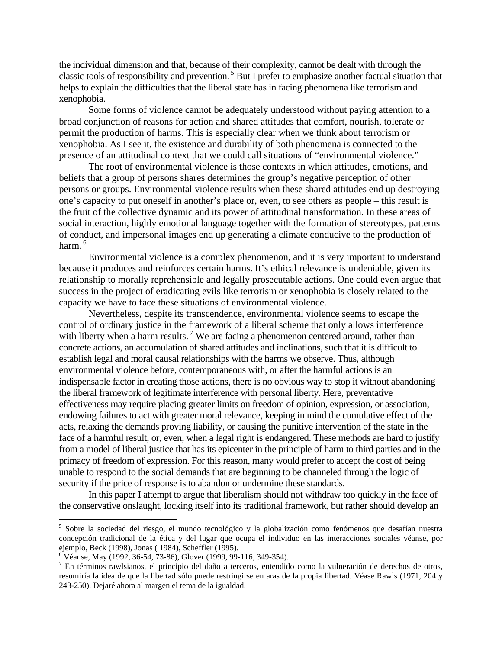the individual dimension and that, because of their complexity, cannot be dealt with through the classic tools of responsibility and prevention. 5 But I prefer to emphasize another factual situation that helps to explain the difficulties that the liberal state has in facing phenomena like terrorism and xenophobia.

Some forms of violence cannot be adequately understood without paying attention to a broad conjunction of reasons for action and shared attitudes that comfort, nourish, tolerate or permit the production of harms. This is especially clear when we think about terrorism or xenophobia. As I see it, the existence and durability of both phenomena is connected to the presence of an attitudinal context that we could call situations of "environmental violence."

The root of environmental violence is those contexts in which attitudes, emotions, and beliefs that a group of persons shares determines the group's negative perception of other persons or groups. Environmental violence results when these shared attitudes end up destroying one's capacity to put oneself in another's place or, even, to see others as people – this result is the fruit of the collective dynamic and its power of attitudinal transformation. In these areas of social interaction, highly emotional language together with the formation of stereotypes, patterns of conduct, and impersonal images end up generating a climate conducive to the production of harm. 6

Environmental violence is a complex phenomenon, and it is very important to understand because it produces and reinforces certain harms. It's ethical relevance is undeniable, given its relationship to morally reprehensible and legally prosecutable actions. One could even argue that success in the project of eradicating evils like terrorism or xenophobia is closely related to the capacity we have to face these situations of environmental violence.

Nevertheless, despite its transcendence, environmental violence seems to escape the control of ordinary justice in the framework of a liberal scheme that only allows interference with liberty when a harm results.<sup>7</sup> We are facing a phenomenon centered around, rather than concrete actions, an accumulation of shared attitudes and inclinations, such that it is difficult to establish legal and moral causal relationships with the harms we observe. Thus, although environmental violence before, contemporaneous with, or after the harmful actions is an indispensable factor in creating those actions, there is no obvious way to stop it without abandoning the liberal framework of legitimate interference with personal liberty. Here, preventative effectiveness may require placing greater limits on freedom of opinion, expression, or association, endowing failures to act with greater moral relevance, keeping in mind the cumulative effect of the acts, relaxing the demands proving liability, or causing the punitive intervention of the state in the face of a harmful result, or, even, when a legal right is endangered. These methods are hard to justify from a model of liberal justice that has its epicenter in the principle of harm to third parties and in the primacy of freedom of expression. For this reason, many would prefer to accept the cost of being unable to respond to the social demands that are beginning to be channeled through the logic of security if the price of response is to abandon or undermine these standards.

In this paper I attempt to argue that liberalism should not withdraw too quickly in the face of the conservative onslaught, locking itself into its traditional framework, but rather should develop an

<sup>&</sup>lt;sup>5</sup> Sobre la sociedad del riesgo, el mundo tecnológico y la globalización como fenómenos que desafían nuestra concepción tradicional de la ética y del lugar que ocupa el individuo en las interacciones sociales véanse, por ejemplo, Beck (1998), Jonas ( 1984), Scheffler (1995).

 $6^{\circ}$  Véanse, May (1992, 36-54, 73-86), Glover (1999, 99-116, 349-354).

<sup>&</sup>lt;sup>7</sup> En términos rawlsianos, el principio del daño a terceros, entendido como la vulneración de derechos de otros, resumiría la idea de que la libertad sólo puede restringirse en aras de la propia libertad. Véase Rawls (1971, 204 y 243-250). Dejaré ahora al margen el tema de la igualdad.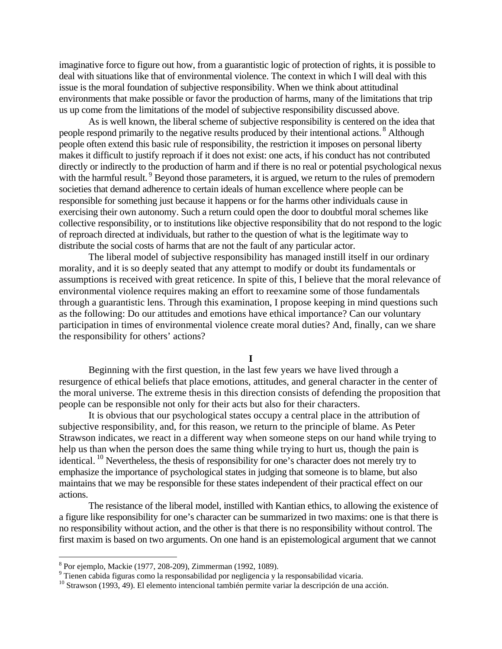imaginative force to figure out how, from a guarantistic logic of protection of rights, it is possible to deal with situations like that of environmental violence. The context in which I will deal with this issue is the moral foundation of subjective responsibility. When we think about attitudinal environments that make possible or favor the production of harms, many of the limitations that trip us up come from the limitations of the model of subjective responsibility discussed above.

As is well known, the liberal scheme of subjective responsibility is centered on the idea that people respond primarily to the negative results produced by their intentional actions.<sup>8</sup> Although people often extend this basic rule of responsibility, the restriction it imposes on personal liberty makes it difficult to justify reproach if it does not exist: one acts, if his conduct has not contributed directly or indirectly to the production of harm and if there is no real or potential psychological nexus with the harmful result. <sup>9</sup> Beyond those parameters, it is argued, we return to the rules of premodern societies that demand adherence to certain ideals of human excellence where people can be responsible for something just because it happens or for the harms other individuals cause in exercising their own autonomy. Such a return could open the door to doubtful moral schemes like collective responsibility, or to institutions like objective responsibility that do not respond to the logic of reproach directed at individuals, but rather to the question of what is the legitimate way to distribute the social costs of harms that are not the fault of any particular actor.

The liberal model of subjective responsibility has managed instill itself in our ordinary morality, and it is so deeply seated that any attempt to modify or doubt its fundamentals or assumptions is received with great reticence. In spite of this, I believe that the moral relevance of environmental violence requires making an effort to reexamine some of those fundamentals through a guarantistic lens. Through this examination, I propose keeping in mind questions such as the following: Do our attitudes and emotions have ethical importance? Can our voluntary participation in times of environmental violence create moral duties? And, finally, can we share the responsibility for others' actions?

**I** 

 Beginning with the first question, in the last few years we have lived through a resurgence of ethical beliefs that place emotions, attitudes, and general character in the center of the moral universe. The extreme thesis in this direction consists of defending the proposition that people can be responsible not only for their acts but also for their characters.

 It is obvious that our psychological states occupy a central place in the attribution of subjective responsibility, and, for this reason, we return to the principle of blame. As Peter Strawson indicates, we react in a different way when someone steps on our hand while trying to help us than when the person does the same thing while trying to hurt us, though the pain is identical. 10 Nevertheless, the thesis of responsibility for one's character does not merely try to emphasize the importance of psychological states in judging that someone is to blame, but also maintains that we may be responsible for these states independent of their practical effect on our actions.

 The resistance of the liberal model, instilled with Kantian ethics, to allowing the existence of a figure like responsibility for one's character can be summarized in two maxims: one is that there is no responsibility without action, and the other is that there is no responsibility without control. The first maxim is based on two arguments. On one hand is an epistemological argument that we cannot

<sup>8</sup> Por ejemplo, Mackie (1977, 208-209), Zimmerman (1992, 1089).

<sup>&</sup>lt;sup>9</sup> Tienen cabida figuras como la responsabilidad por negligencia y la responsabilidad vicaria.

<sup>&</sup>lt;sup>10</sup> Strawson (1993, 49). El elemento intencional también permite variar la descripción de una acción.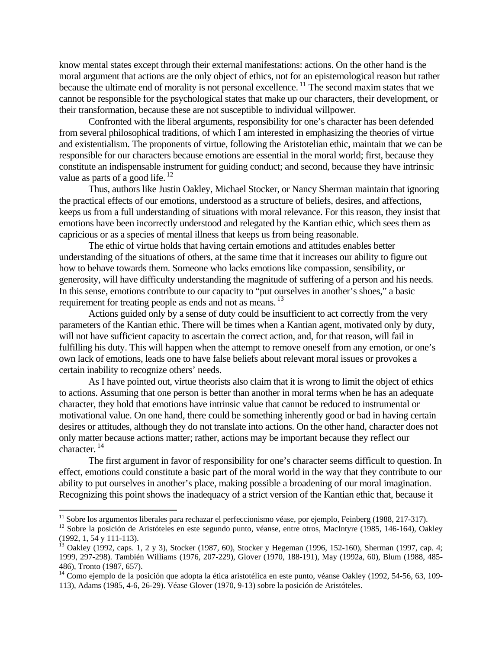know mental states except through their external manifestations: actions. On the other hand is the moral argument that actions are the only object of ethics, not for an epistemological reason but rather because the ultimate end of morality is not personal excellence.<sup>11</sup> The second maxim states that we cannot be responsible for the psychological states that make up our characters, their development, or their transformation, because these are not susceptible to individual willpower.

 Confronted with the liberal arguments, responsibility for one's character has been defended from several philosophical traditions, of which I am interested in emphasizing the theories of virtue and existentialism. The proponents of virtue, following the Aristotelian ethic, maintain that we can be responsible for our characters because emotions are essential in the moral world; first, because they constitute an indispensable instrument for guiding conduct; and second, because they have intrinsic value as parts of a good life.<sup>12</sup>

 Thus, authors like Justin Oakley, Michael Stocker, or Nancy Sherman maintain that ignoring the practical effects of our emotions, understood as a structure of beliefs, desires, and affections, keeps us from a full understanding of situations with moral relevance. For this reason, they insist that emotions have been incorrectly understood and relegated by the Kantian ethic, which sees them as capricious or as a species of mental illness that keeps us from being reasonable.

 The ethic of virtue holds that having certain emotions and attitudes enables better understanding of the situations of others, at the same time that it increases our ability to figure out how to behave towards them. Someone who lacks emotions like compassion, sensibility, or generosity, will have difficulty understanding the magnitude of suffering of a person and his needs. In this sense, emotions contribute to our capacity to "put ourselves in another's shoes," a basic requirement for treating people as ends and not as means.<sup>13</sup>

 Actions guided only by a sense of duty could be insufficient to act correctly from the very parameters of the Kantian ethic. There will be times when a Kantian agent, motivated only by duty, will not have sufficient capacity to ascertain the correct action, and, for that reason, will fail in fulfilling his duty. This will happen when the attempt to remove oneself from any emotion, or one's own lack of emotions, leads one to have false beliefs about relevant moral issues or provokes a certain inability to recognize others' needs.

 As I have pointed out, virtue theorists also claim that it is wrong to limit the object of ethics to actions. Assuming that one person is better than another in moral terms when he has an adequate character, they hold that emotions have intrinsic value that cannot be reduced to instrumental or motivational value. On one hand, there could be something inherently good or bad in having certain desires or attitudes, although they do not translate into actions. On the other hand, character does not only matter because actions matter; rather, actions may be important because they reflect our character. 14

 The first argument in favor of responsibility for one's character seems difficult to question. In effect, emotions could constitute a basic part of the moral world in the way that they contribute to our ability to put ourselves in another's place, making possible a broadening of our moral imagination. Recognizing this point shows the inadequacy of a strict version of the Kantian ethic that, because it

<sup>&</sup>lt;sup>11</sup> Sobre los argumentos liberales para rechazar el perfeccionismo véase, por ejemplo, Feinberg (1988, 217-317).

<sup>&</sup>lt;sup>12</sup> Sobre la posición de Aristóteles en este segundo punto, véanse, entre otros, MacIntyre (1985, 146-164), Oakley (1992, 1, 54 y 111-113).

<sup>&</sup>lt;sup>13</sup> Oakley (1992, caps. 1, 2 y 3), Stocker (1987, 60), Stocker y Hegeman (1996, 152-160), Sherman (1997, cap. 4; 1999, 297-298). También Williams (1976, 207-229), Glover (1970, 188-191), May (1992a, 60), Blum (1988, 485- 486), Tronto (1987, 657).

<sup>&</sup>lt;sup>14</sup> Como ejemplo de la posición que adopta la ética aristotélica en este punto, véanse Oakley (1992, 54-56, 63, 109-113), Adams (1985, 4-6, 26-29). Véase Glover (1970, 9-13) sobre la posición de Aristóteles.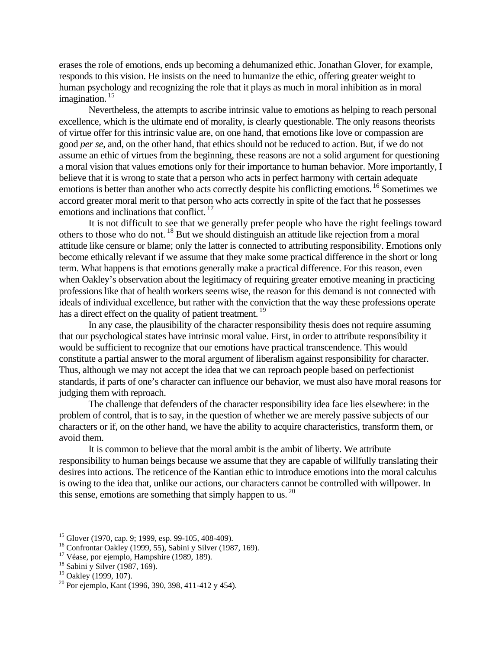erases the role of emotions, ends up becoming a dehumanized ethic. Jonathan Glover, for example, responds to this vision. He insists on the need to humanize the ethic, offering greater weight to human psychology and recognizing the role that it plays as much in moral inhibition as in moral imagination.<sup>15</sup>

 Nevertheless, the attempts to ascribe intrinsic value to emotions as helping to reach personal excellence, which is the ultimate end of morality, is clearly questionable. The only reasons theorists of virtue offer for this intrinsic value are, on one hand, that emotions like love or compassion are good *per se*, and, on the other hand, that ethics should not be reduced to action. But, if we do not assume an ethic of virtues from the beginning, these reasons are not a solid argument for questioning a moral vision that values emotions only for their importance to human behavior. More importantly, I believe that it is wrong to state that a person who acts in perfect harmony with certain adequate emotions is better than another who acts correctly despite his conflicting emotions. <sup>16</sup> Sometimes we accord greater moral merit to that person who acts correctly in spite of the fact that he possesses emotions and inclinations that conflict.<sup>17</sup>

 It is not difficult to see that we generally prefer people who have the right feelings toward others to those who do not. 18 But we should distinguish an attitude like rejection from a moral attitude like censure or blame; only the latter is connected to attributing responsibility. Emotions only become ethically relevant if we assume that they make some practical difference in the short or long term. What happens is that emotions generally make a practical difference. For this reason, even when Oakley's observation about the legitimacy of requiring greater emotive meaning in practicing professions like that of health workers seems wise, the reason for this demand is not connected with ideals of individual excellence, but rather with the conviction that the way these professions operate has a direct effect on the quality of patient treatment.<sup>19</sup>

 In any case, the plausibility of the character responsibility thesis does not require assuming that our psychological states have intrinsic moral value. First, in order to attribute responsibility it would be sufficient to recognize that our emotions have practical transcendence. This would constitute a partial answer to the moral argument of liberalism against responsibility for character. Thus, although we may not accept the idea that we can reproach people based on perfectionist standards, if parts of one's character can influence our behavior, we must also have moral reasons for judging them with reproach.

 The challenge that defenders of the character responsibility idea face lies elsewhere: in the problem of control, that is to say, in the question of whether we are merely passive subjects of our characters or if, on the other hand, we have the ability to acquire characteristics, transform them, or avoid them.

 It is common to believe that the moral ambit is the ambit of liberty. We attribute responsibility to human beings because we assume that they are capable of willfully translating their desires into actions. The reticence of the Kantian ethic to introduce emotions into the moral calculus is owing to the idea that, unlike our actions, our characters cannot be controlled with willpower. In this sense, emotions are something that simply happen to us.  $20$ 

<sup>&</sup>lt;sup>15</sup> Glover (1970, cap. 9; 1999, esp. 99-105, 408-409).

<sup>&</sup>lt;sup>16</sup> Confrontar Oakley (1999, 55), Sabini y Silver (1987, 169).

<sup>&</sup>lt;sup>17</sup> Véase, por ejemplo, Hampshire (1989, 189).

 $18$  Sabini y Silver (1987, 169).

<sup>&</sup>lt;sup>19</sup> Oakley (1999, 107).

<sup>&</sup>lt;sup>20</sup> Por ejemplo, Kant (1996, 390, 398, 411-412 y 454).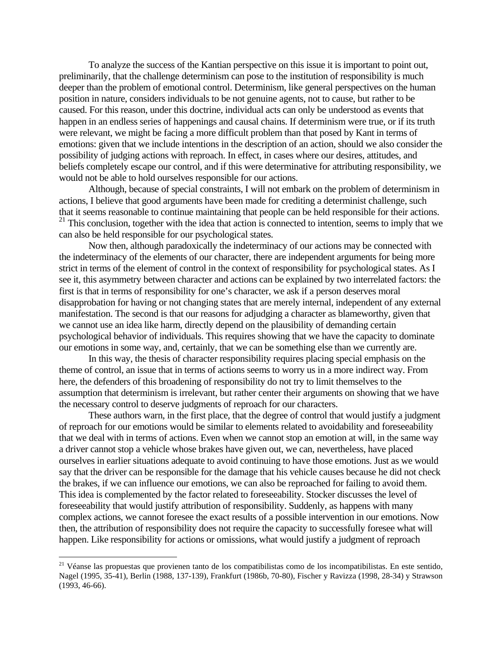To analyze the success of the Kantian perspective on this issue it is important to point out, preliminarily, that the challenge determinism can pose to the institution of responsibility is much deeper than the problem of emotional control. Determinism, like general perspectives on the human position in nature, considers individuals to be not genuine agents, not to cause, but rather to be caused. For this reason, under this doctrine, individual acts can only be understood as events that happen in an endless series of happenings and causal chains. If determinism were true, or if its truth were relevant, we might be facing a more difficult problem than that posed by Kant in terms of emotions: given that we include intentions in the description of an action, should we also consider the possibility of judging actions with reproach. In effect, in cases where our desires, attitudes, and beliefs completely escape our control, and if this were determinative for attributing responsibility, we would not be able to hold ourselves responsible for our actions.

 Although, because of special constraints, I will not embark on the problem of determinism in actions, I believe that good arguments have been made for crediting a determinist challenge, such that it seems reasonable to continue maintaining that people can be held responsible for their actions.  $21$  This conclusion, together with the idea that action is connected to intention, seems to imply that we can also be held responsible for our psychological states.

 Now then, although paradoxically the indeterminacy of our actions may be connected with the indeterminacy of the elements of our character, there are independent arguments for being more strict in terms of the element of control in the context of responsibility for psychological states. As I see it, this asymmetry between character and actions can be explained by two interrelated factors: the first is that in terms of responsibility for one's character, we ask if a person deserves moral disapprobation for having or not changing states that are merely internal, independent of any external manifestation. The second is that our reasons for adjudging a character as blameworthy, given that we cannot use an idea like harm, directly depend on the plausibility of demanding certain psychological behavior of individuals. This requires showing that we have the capacity to dominate our emotions in some way, and, certainly, that we can be something else than we currently are.

 In this way, the thesis of character responsibility requires placing special emphasis on the theme of control, an issue that in terms of actions seems to worry us in a more indirect way. From here, the defenders of this broadening of responsibility do not try to limit themselves to the assumption that determinism is irrelevant, but rather center their arguments on showing that we have the necessary control to deserve judgments of reproach for our characters.

 These authors warn, in the first place, that the degree of control that would justify a judgment of reproach for our emotions would be similar to elements related to avoidability and foreseeability that we deal with in terms of actions. Even when we cannot stop an emotion at will, in the same way a driver cannot stop a vehicle whose brakes have given out, we can, nevertheless, have placed ourselves in earlier situations adequate to avoid continuing to have those emotions. Just as we would say that the driver can be responsible for the damage that his vehicle causes because he did not check the brakes, if we can influence our emotions, we can also be reproached for failing to avoid them. This idea is complemented by the factor related to foreseeability. Stocker discusses the level of foreseeability that would justify attribution of responsibility. Suddenly, as happens with many complex actions, we cannot foresee the exact results of a possible intervention in our emotions. Now then, the attribution of responsibility does not require the capacity to successfully foresee what will happen. Like responsibility for actions or omissions, what would justify a judgment of reproach

<sup>21</sup> Véanse las propuestas que provienen tanto de los compatibilistas como de los incompatibilistas. En este sentido, Nagel (1995, 35-41), Berlin (1988, 137-139), Frankfurt (1986b, 70-80), Fischer y Ravizza (1998, 28-34) y Strawson (1993, 46-66).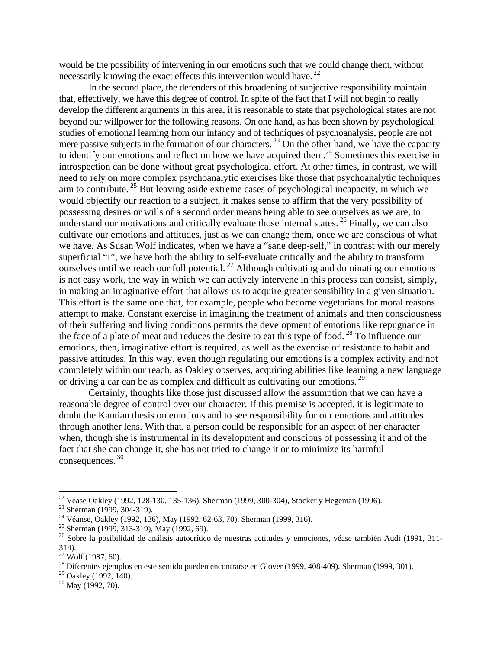would be the possibility of intervening in our emotions such that we could change them, without necessarily knowing the exact effects this intervention would have.<sup>22</sup>

 In the second place, the defenders of this broadening of subjective responsibility maintain that, effectively, we have this degree of control. In spite of the fact that I will not begin to really develop the different arguments in this area, it is reasonable to state that psychological states are not beyond our willpower for the following reasons. On one hand, as has been shown by psychological studies of emotional learning from our infancy and of techniques of psychoanalysis, people are not mere passive subjects in the formation of our characters.  $^{23}$  On the other hand, we have the capacity to identify our emotions and reflect on how we have acquired them.<sup>24</sup> Sometimes this exercise in introspection can be done without great psychological effort. At other times, in contrast, we will need to rely on more complex psychoanalytic exercises like those that psychoanalytic techniques aim to contribute. 25 But leaving aside extreme cases of psychological incapacity, in which we would objectify our reaction to a subject, it makes sense to affirm that the very possibility of possessing desires or wills of a second order means being able to see ourselves as we are, to understand our motivations and critically evaluate those internal states. <sup>26</sup> Finally, we can also cultivate our emotions and attitudes, just as we can change them, once we are conscious of what we have. As Susan Wolf indicates, when we have a "sane deep-self," in contrast with our merely superficial "I", we have both the ability to self-evaluate critically and the ability to transform ourselves until we reach our full potential.<sup>27</sup> Although cultivating and dominating our emotions is not easy work, the way in which we can actively intervene in this process can consist, simply, in making an imaginative effort that allows us to acquire greater sensibility in a given situation. This effort is the same one that, for example, people who become vegetarians for moral reasons attempt to make. Constant exercise in imagining the treatment of animals and then consciousness of their suffering and living conditions permits the development of emotions like repugnance in the face of a plate of meat and reduces the desire to eat this type of food.<sup>28</sup> To influence our emotions, then, imaginative effort is required, as well as the exercise of resistance to habit and passive attitudes. In this way, even though regulating our emotions is a complex activity and not completely within our reach, as Oakley observes, acquiring abilities like learning a new language or driving a car can be as complex and difficult as cultivating our emotions.<sup>29</sup>

 Certainly, thoughts like those just discussed allow the assumption that we can have a reasonable degree of control over our character. If this premise is accepted, it is legitimate to doubt the Kantian thesis on emotions and to see responsibility for our emotions and attitudes through another lens. With that, a person could be responsible for an aspect of her character when, though she is instrumental in its development and conscious of possessing it and of the fact that she can change it, she has not tried to change it or to minimize its harmful consequences. 30

1

<sup>&</sup>lt;sup>22</sup> Véase Oakley (1992, 128-130, 135-136), Sherman (1999, 300-304), Stocker y Hegeman (1996).

<sup>23</sup> Sherman (1999, 304-319).

<sup>24</sup> Véanse, Oakley (1992, 136), May (1992, 62-63, 70), Sherman (1999, 316).

<sup>&</sup>lt;sup>25</sup> Sherman (1999, 313-319), May (1992, 69).

<sup>&</sup>lt;sup>26</sup> Sobre la posibilidad de análisis autocrítico de nuestras actitudes y emociones, véase también Audi (1991, 311-314).

 $27 \text{ Wolf}$  (1987, 60).

 $^{28}$  Diferentes ejemplos en este sentido pueden encontrarse en Glover (1999, 408-409), Sherman (1999, 301).

 $29$  Oakley (1992, 140).

 $30$  May (1992, 70).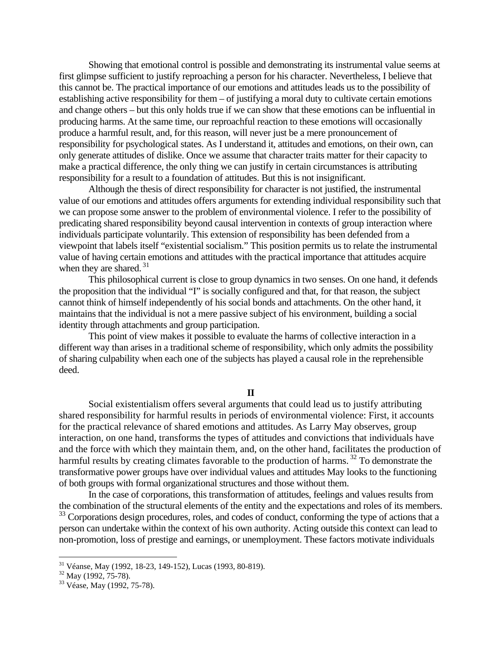Showing that emotional control is possible and demonstrating its instrumental value seems at first glimpse sufficient to justify reproaching a person for his character. Nevertheless, I believe that this cannot be. The practical importance of our emotions and attitudes leads us to the possibility of establishing active responsibility for them – of justifying a moral duty to cultivate certain emotions and change others – but this only holds true if we can show that these emotions can be influential in producing harms. At the same time, our reproachful reaction to these emotions will occasionally produce a harmful result, and, for this reason, will never just be a mere pronouncement of responsibility for psychological states. As I understand it, attitudes and emotions, on their own, can only generate attitudes of dislike. Once we assume that character traits matter for their capacity to make a practical difference, the only thing we can justify in certain circumstances is attributing responsibility for a result to a foundation of attitudes. But this is not insignificant.

 Although the thesis of direct responsibility for character is not justified, the instrumental value of our emotions and attitudes offers arguments for extending individual responsibility such that we can propose some answer to the problem of environmental violence. I refer to the possibility of predicating shared responsibility beyond causal intervention in contexts of group interaction where individuals participate voluntarily. This extension of responsibility has been defended from a viewpoint that labels itself "existential socialism." This position permits us to relate the instrumental value of having certain emotions and attitudes with the practical importance that attitudes acquire when they are shared.  $31$ 

 This philosophical current is close to group dynamics in two senses. On one hand, it defends the proposition that the individual "I" is socially configured and that, for that reason, the subject cannot think of himself independently of his social bonds and attachments. On the other hand, it maintains that the individual is not a mere passive subject of his environment, building a social identity through attachments and group participation.

 This point of view makes it possible to evaluate the harms of collective interaction in a different way than arises in a traditional scheme of responsibility, which only admits the possibility of sharing culpability when each one of the subjects has played a causal role in the reprehensible deed.

# **II**

 Social existentialism offers several arguments that could lead us to justify attributing shared responsibility for harmful results in periods of environmental violence: First, it accounts for the practical relevance of shared emotions and attitudes. As Larry May observes, group interaction, on one hand, transforms the types of attitudes and convictions that individuals have and the force with which they maintain them, and, on the other hand, facilitates the production of harmful results by creating climates favorable to the production of harms.<sup>32</sup> To demonstrate the transformative power groups have over individual values and attitudes May looks to the functioning of both groups with formal organizational structures and those without them.

 In the case of corporations, this transformation of attitudes, feelings and values results from the combination of the structural elements of the entity and the expectations and roles of its members. <sup>33</sup> Corporations design procedures, roles, and codes of conduct, conforming the type of actions that a person can undertake within the context of his own authority. Acting outside this context can lead to non-promotion, loss of prestige and earnings, or unemployment. These factors motivate individuals

<sup>&</sup>lt;sup>31</sup> Véanse, May (1992, 18-23, 149-152), Lucas (1993, 80-819).

 $32$  May (1992, 75-78).

<sup>33</sup> Véase, May (1992, 75-78).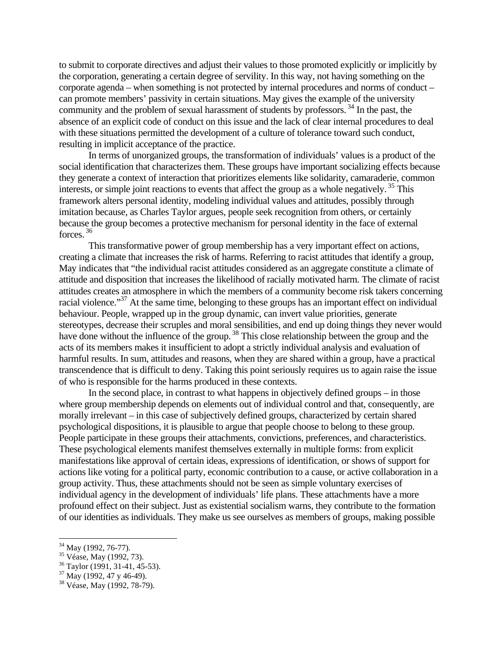to submit to corporate directives and adjust their values to those promoted explicitly or implicitly by the corporation, generating a certain degree of servility. In this way, not having something on the corporate agenda – when something is not protected by internal procedures and norms of conduct – can promote members' passivity in certain situations. May gives the example of the university community and the problem of sexual harassment of students by professors.  $34$  In the past, the absence of an explicit code of conduct on this issue and the lack of clear internal procedures to deal with these situations permitted the development of a culture of tolerance toward such conduct, resulting in implicit acceptance of the practice.

 In terms of unorganized groups, the transformation of individuals' values is a product of the social identification that characterizes them. These groups have important socializing effects because they generate a context of interaction that prioritizes elements like solidarity, camaraderie, common interests, or simple joint reactions to events that affect the group as a whole negatively.<sup>35</sup> This framework alters personal identity, modeling individual values and attitudes, possibly through imitation because, as Charles Taylor argues, people seek recognition from others, or certainly because the group becomes a protective mechanism for personal identity in the face of external forces. 36

 This transformative power of group membership has a very important effect on actions, creating a climate that increases the risk of harms. Referring to racist attitudes that identify a group, May indicates that "the individual racist attitudes considered as an aggregate constitute a climate of attitude and disposition that increases the likelihood of racially motivated harm. The climate of racist attitudes creates an atmosphere in which the members of a community become risk takers concerning racial violence."<sup>37</sup> At the same time, belonging to these groups has an important effect on individual behaviour. People, wrapped up in the group dynamic, can invert value priorities, generate stereotypes, decrease their scruples and moral sensibilities, and end up doing things they never would have done without the influence of the group.<sup>38</sup> This close relationship between the group and the acts of its members makes it insufficient to adopt a strictly individual analysis and evaluation of harmful results. In sum, attitudes and reasons, when they are shared within a group, have a practical transcendence that is difficult to deny. Taking this point seriously requires us to again raise the issue of who is responsible for the harms produced in these contexts.

 In the second place, in contrast to what happens in objectively defined groups – in those where group membership depends on elements out of individual control and that, consequently, are morally irrelevant – in this case of subjectively defined groups, characterized by certain shared psychological dispositions, it is plausible to argue that people choose to belong to these group. People participate in these groups their attachments, convictions, preferences, and characteristics. These psychological elements manifest themselves externally in multiple forms: from explicit manifestations like approval of certain ideas, expressions of identification, or shows of support for actions like voting for a political party, economic contribution to a cause, or active collaboration in a group activity. Thus, these attachments should not be seen as simple voluntary exercises of individual agency in the development of individuals' life plans. These attachments have a more profound effect on their subject. Just as existential socialism warns, they contribute to the formation of our identities as individuals. They make us see ourselves as members of groups, making possible

<sup>&</sup>lt;sup>34</sup> May (1992, 76-77).

<sup>&</sup>lt;sup>35</sup> Véase, May (1992, 73).

 $36$  Taylor (1991, 31-41, 45-53).

<sup>37</sup> May (1992, 47 y 46-49).

<sup>38</sup> Véase, May (1992, 78-79).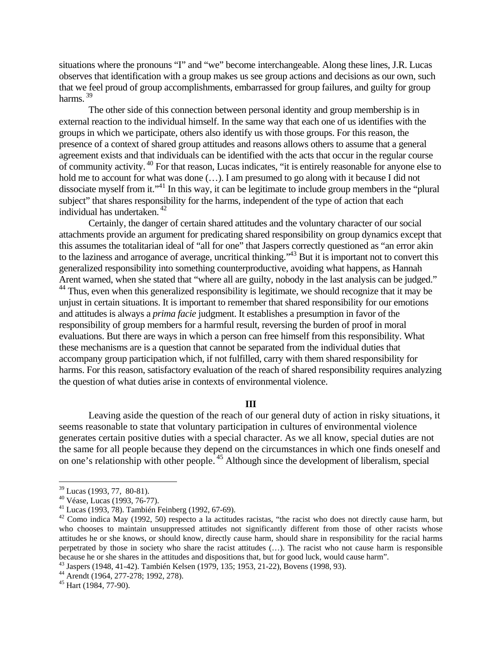situations where the pronouns "I" and "we" become interchangeable. Along these lines, J.R. Lucas observes that identification with a group makes us see group actions and decisions as our own, such that we feel proud of group accomplishments, embarrassed for group failures, and guilty for group harms. 39

 The other side of this connection between personal identity and group membership is in external reaction to the individual himself. In the same way that each one of us identifies with the groups in which we participate, others also identify us with those groups. For this reason, the presence of a context of shared group attitudes and reasons allows others to assume that a general agreement exists and that individuals can be identified with the acts that occur in the regular course of community activity. 40 For that reason, Lucas indicates, "it is entirely reasonable for anyone else to hold me to account for what was done  $(\ldots)$ . I am presumed to go along with it because I did not dissociate myself from it."<sup>41</sup> In this way, it can be legitimate to include group members in the "plural" subject" that shares responsibility for the harms, independent of the type of action that each individual has undertaken. 42

 Certainly, the danger of certain shared attitudes and the voluntary character of our social attachments provide an argument for predicating shared responsibility on group dynamics except that this assumes the totalitarian ideal of "all for one" that Jaspers correctly questioned as "an error akin to the laziness and arrogance of average, uncritical thinking."<sup>43</sup> But it is important not to convert this generalized responsibility into something counterproductive, avoiding what happens, as Hannah Arent warned, when she stated that "where all are guilty, nobody in the last analysis can be judged." <sup>44</sup> Thus, even when this generalized responsibility is legitimate, we should recognize that it may be unjust in certain situations. It is important to remember that shared responsibility for our emotions and attitudes is always a *prima facie* judgment. It establishes a presumption in favor of the responsibility of group members for a harmful result, reversing the burden of proof in moral evaluations. But there are ways in which a person can free himself from this responsibility. What these mechanisms are is a question that cannot be separated from the individual duties that accompany group participation which, if not fulfilled, carry with them shared responsibility for harms. For this reason, satisfactory evaluation of the reach of shared responsibility requires analyzing the question of what duties arise in contexts of environmental violence.

#### **III**

 Leaving aside the question of the reach of our general duty of action in risky situations, it seems reasonable to state that voluntary participation in cultures of environmental violence generates certain positive duties with a special character. As we all know, special duties are not the same for all people because they depend on the circumstances in which one finds oneself and on one's relationship with other people. 45 Although since the development of liberalism, special

1

 $39$  Lucas (1993, 77, 80-81).

<sup>40</sup> Véase, Lucas (1993, 76-77).

<sup>41</sup> Lucas (1993, 78). También Feinberg (1992, 67-69).

 $42$  Como indica May (1992, 50) respecto a la actitudes racistas, "the racist who does not directly cause harm, but who chooses to maintain unsuppressed attitudes not significantly different from those of other racists whose attitudes he or she knows, or should know, directly cause harm, should share in responsibility for the racial harms perpetrated by those in society who share the racist attitudes (…). The racist who not cause harm is responsible because he or she shares in the attitudes and dispositions that, but for good luck, would cause harm". 43 Jaspers (1948, 41-42). También Kelsen (1979, 135; 1953, 21-22), Bovens (1998, 93).

<sup>44</sup> Arendt (1964, 277-278; 1992, 278).

<sup>45</sup> Hart (1984, 77-90).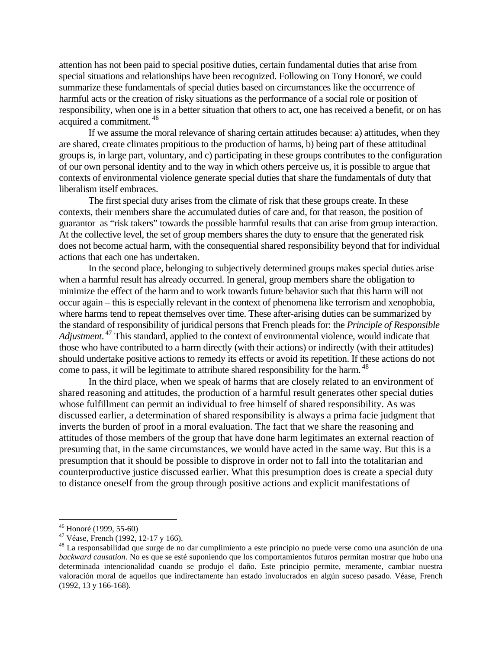attention has not been paid to special positive duties, certain fundamental duties that arise from special situations and relationships have been recognized. Following on Tony Honoré, we could summarize these fundamentals of special duties based on circumstances like the occurrence of harmful acts or the creation of risky situations as the performance of a social role or position of responsibility, when one is in a better situation that others to act, one has received a benefit, or on has acquired a commitment. 46

 If we assume the moral relevance of sharing certain attitudes because: a) attitudes, when they are shared, create climates propitious to the production of harms, b) being part of these attitudinal groups is, in large part, voluntary, and c) participating in these groups contributes to the configuration of our own personal identity and to the way in which others perceive us, it is possible to argue that contexts of environmental violence generate special duties that share the fundamentals of duty that liberalism itself embraces.

 The first special duty arises from the climate of risk that these groups create. In these contexts, their members share the accumulated duties of care and, for that reason, the position of guarantor as "risk takers" towards the possible harmful results that can arise from group interaction. At the collective level, the set of group members shares the duty to ensure that the generated risk does not become actual harm, with the consequential shared responsibility beyond that for individual actions that each one has undertaken.

 In the second place, belonging to subjectively determined groups makes special duties arise when a harmful result has already occurred. In general, group members share the obligation to minimize the effect of the harm and to work towards future behavior such that this harm will not occur again – this is especially relevant in the context of phenomena like terrorism and xenophobia, where harms tend to repeat themselves over time. These after-arising duties can be summarized by the standard of responsibility of juridical persons that French pleads for: the *Principle of Responsible*  Adjustment.<sup>47</sup> This standard, applied to the context of environmental violence, would indicate that those who have contributed to a harm directly (with their actions) or indirectly (with their attitudes) should undertake positive actions to remedy its effects or avoid its repetition. If these actions do not come to pass, it will be legitimate to attribute shared responsibility for the harm.<sup>48</sup>

 In the third place, when we speak of harms that are closely related to an environment of shared reasoning and attitudes, the production of a harmful result generates other special duties whose fulfillment can permit an individual to free himself of shared responsibility. As was discussed earlier, a determination of shared responsibility is always a prima facie judgment that inverts the burden of proof in a moral evaluation. The fact that we share the reasoning and attitudes of those members of the group that have done harm legitimates an external reaction of presuming that, in the same circumstances, we would have acted in the same way. But this is a presumption that it should be possible to disprove in order not to fall into the totalitarian and counterproductive justice discussed earlier. What this presumption does is create a special duty to distance oneself from the group through positive actions and explicit manifestations of

<sup>46</sup> Honoré (1999, 55-60)

<sup>47</sup> Véase, French (1992, 12-17 y 166).

<sup>&</sup>lt;sup>48</sup> La responsabilidad que surge de no dar cumplimiento a este principio no puede verse como una asunción de una *backward causation*. No es que se esté suponiendo que los comportamientos futuros permitan mostrar que hubo una determinada intencionalidad cuando se produjo el daño. Este principio permite, meramente, cambiar nuestra valoración moral de aquellos que indirectamente han estado involucrados en algún suceso pasado. Véase, French (1992, 13 y 166-168).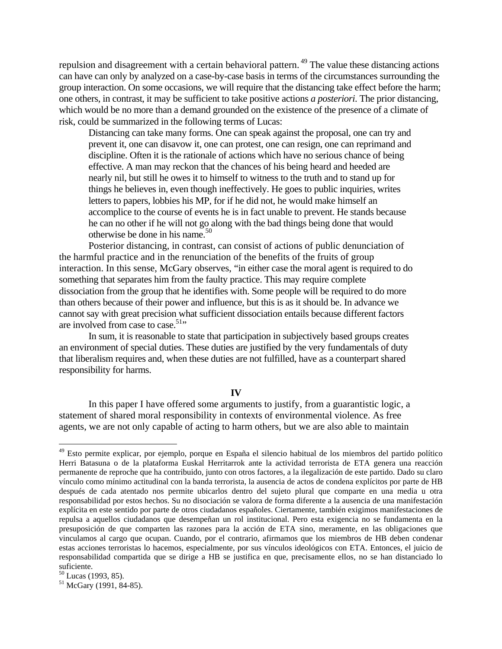repulsion and disagreement with a certain behavioral pattern.<sup>49</sup> The value these distancing actions can have can only by analyzed on a case-by-case basis in terms of the circumstances surrounding the group interaction. On some occasions, we will require that the distancing take effect before the harm; one others, in contrast, it may be sufficient to take positive actions *a posteriori*. The prior distancing, which would be no more than a demand grounded on the existence of the presence of a climate of risk, could be summarized in the following terms of Lucas:

Distancing can take many forms. One can speak against the proposal, one can try and prevent it, one can disavow it, one can protest, one can resign, one can reprimand and discipline. Often it is the rationale of actions which have no serious chance of being effective. A man may reckon that the chances of his being heard and heeded are nearly nil, but still he owes it to himself to witness to the truth and to stand up for things he believes in, even though ineffectively. He goes to public inquiries, writes letters to papers, lobbies his MP, for if he did not, he would make himself an accomplice to the course of events he is in fact unable to prevent. He stands because he can no other if he will not go along with the bad things being done that would otherwise be done in his name. $50$ 

Posterior distancing, in contrast, can consist of actions of public denunciation of the harmful practice and in the renunciation of the benefits of the fruits of group interaction. In this sense, McGary observes, "in either case the moral agent is required to do something that separates him from the faulty practice. This may require complete dissociation from the group that he identifies with. Some people will be required to do more than others because of their power and influence, but this is as it should be. In advance we cannot say with great precision what sufficient dissociation entails because different factors are involved from case to case.<sup>51</sup>"

In sum, it is reasonable to state that participation in subjectively based groups creates an environment of special duties. These duties are justified by the very fundamentals of duty that liberalism requires and, when these duties are not fulfilled, have as a counterpart shared responsibility for harms.

# **IV**

 In this paper I have offered some arguments to justify, from a guarantistic logic, a statement of shared moral responsibility in contexts of environmental violence. As free agents, we are not only capable of acting to harm others, but we are also able to maintain

<sup>&</sup>lt;sup>49</sup> Esto permite explicar, por ejemplo, porque en España el silencio habitual de los miembros del partido político Herri Batasuna o de la plataforma Euskal Herritarrok ante la actividad terrorista de ETA genera una reacción permanente de reproche que ha contribuido, junto con otros factores, a la ilegalización de este partido. Dado su claro vínculo como mínimo actitudinal con la banda terrorista, la ausencia de actos de condena explícitos por parte de HB después de cada atentado nos permite ubicarlos dentro del sujeto plural que comparte en una media u otra responsabilidad por estos hechos. Su no disociación se valora de forma diferente a la ausencia de una manifestación explícita en este sentido por parte de otros ciudadanos españoles. Ciertamente, también exigimos manifestaciones de repulsa a aquellos ciudadanos que desempeñan un rol institucional. Pero esta exigencia no se fundamenta en la presuposición de que comparten las razones para la acción de ETA sino, meramente, en las obligaciones que vinculamos al cargo que ocupan. Cuando, por el contrario, afirmamos que los miembros de HB deben condenar estas acciones terroristas lo hacemos, especialmente, por sus vínculos ideológicos con ETA. Entonces, el juicio de responsabilidad compartida que se dirige a HB se justifica en que, precisamente ellos, no se han distanciado lo suficiente.

 $50$  Lucas (1993, 85).

<sup>51</sup> McGary (1991, 84-85).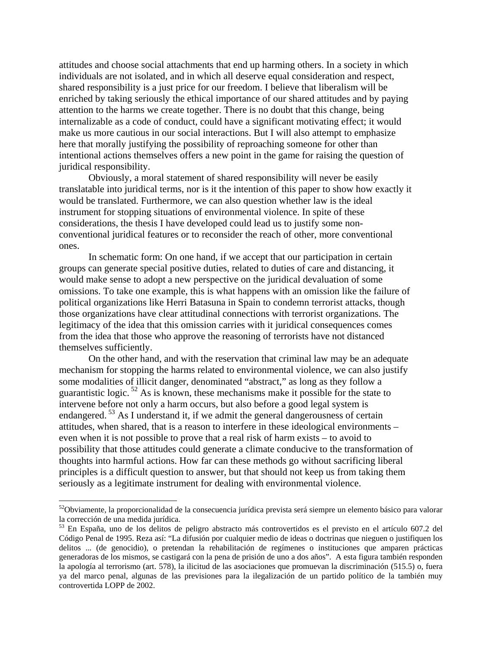attitudes and choose social attachments that end up harming others. In a society in which individuals are not isolated, and in which all deserve equal consideration and respect, shared responsibility is a just price for our freedom. I believe that liberalism will be enriched by taking seriously the ethical importance of our shared attitudes and by paying attention to the harms we create together. There is no doubt that this change, being internalizable as a code of conduct, could have a significant motivating effect; it would make us more cautious in our social interactions. But I will also attempt to emphasize here that morally justifying the possibility of reproaching someone for other than intentional actions themselves offers a new point in the game for raising the question of juridical responsibility.

 Obviously, a moral statement of shared responsibility will never be easily translatable into juridical terms, nor is it the intention of this paper to show how exactly it would be translated. Furthermore, we can also question whether law is the ideal instrument for stopping situations of environmental violence. In spite of these considerations, the thesis I have developed could lead us to justify some nonconventional juridical features or to reconsider the reach of other, more conventional ones.

 In schematic form: On one hand, if we accept that our participation in certain groups can generate special positive duties, related to duties of care and distancing, it would make sense to adopt a new perspective on the juridical devaluation of some omissions. To take one example, this is what happens with an omission like the failure of political organizations like Herri Batasuna in Spain to condemn terrorist attacks, though those organizations have clear attitudinal connections with terrorist organizations. The legitimacy of the idea that this omission carries with it juridical consequences comes from the idea that those who approve the reasoning of terrorists have not distanced themselves sufficiently.

 On the other hand, and with the reservation that criminal law may be an adequate mechanism for stopping the harms related to environmental violence, we can also justify some modalities of illicit danger, denominated "abstract," as long as they follow a guarantistic logic.  $52$  As is known, these mechanisms make it possible for the state to intervene before not only a harm occurs, but also before a good legal system is endangered.<sup>53</sup> As I understand it, if we admit the general dangerousness of certain attitudes, when shared, that is a reason to interfere in these ideological environments – even when it is not possible to prove that a real risk of harm exists – to avoid to possibility that those attitudes could generate a climate conducive to the transformation of thoughts into harmful actions. How far can these methods go without sacrificing liberal principles is a difficult question to answer, but that should not keep us from taking them seriously as a legitimate instrument for dealing with environmental violence.

<sup>&</sup>lt;sup>52</sup>Obviamente, la proporcionalidad de la consecuencia jurídica prevista será siempre un elemento básico para valorar la corrección de una medida jurídica.<br><sup>53</sup> En España, uno de los delitos de peligro abstracto más controvertidos es el previsto en el artículo 607.2 del

Código Penal de 1995. Reza así: "La difusión por cualquier medio de ideas o doctrinas que nieguen o justifiquen los delitos ... (de genocidio), o pretendan la rehabilitación de regímenes o instituciones que amparen prácticas generadoras de los mismos, se castigará con la pena de prisión de uno a dos años". A esta figura también responden la apología al terrorismo (art. 578), la ilicitud de las asociaciones que promuevan la discriminación (515.5) o, fuera ya del marco penal, algunas de las previsiones para la ilegalización de un partido político de la también muy controvertida LOPP de 2002.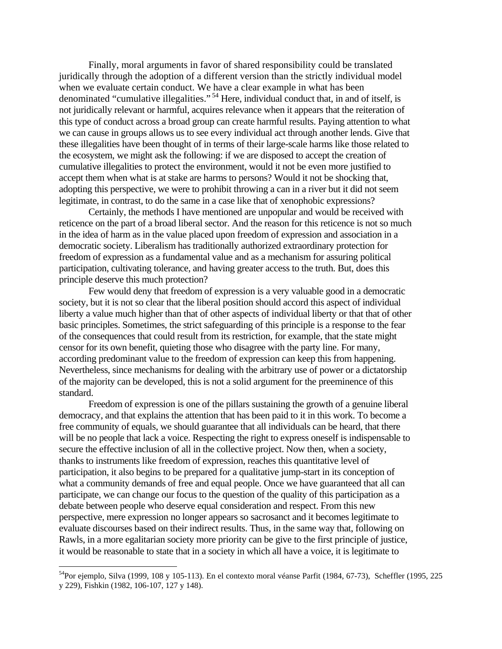Finally, moral arguments in favor of shared responsibility could be translated juridically through the adoption of a different version than the strictly individual model when we evaluate certain conduct. We have a clear example in what has been denominated "cumulative illegalities."<sup>54</sup> Here, individual conduct that, in and of itself, is not juridically relevant or harmful, acquires relevance when it appears that the reiteration of this type of conduct across a broad group can create harmful results. Paying attention to what we can cause in groups allows us to see every individual act through another lends. Give that these illegalities have been thought of in terms of their large-scale harms like those related to the ecosystem, we might ask the following: if we are disposed to accept the creation of cumulative illegalities to protect the environment, would it not be even more justified to accept them when what is at stake are harms to persons? Would it not be shocking that, adopting this perspective, we were to prohibit throwing a can in a river but it did not seem legitimate, in contrast, to do the same in a case like that of xenophobic expressions?

 Certainly, the methods I have mentioned are unpopular and would be received with reticence on the part of a broad liberal sector. And the reason for this reticence is not so much in the idea of harm as in the value placed upon freedom of expression and association in a democratic society. Liberalism has traditionally authorized extraordinary protection for freedom of expression as a fundamental value and as a mechanism for assuring political participation, cultivating tolerance, and having greater access to the truth. But, does this principle deserve this much protection?

 Few would deny that freedom of expression is a very valuable good in a democratic society, but it is not so clear that the liberal position should accord this aspect of individual liberty a value much higher than that of other aspects of individual liberty or that that of other basic principles. Sometimes, the strict safeguarding of this principle is a response to the fear of the consequences that could result from its restriction, for example, that the state might censor for its own benefit, quieting those who disagree with the party line. For many, according predominant value to the freedom of expression can keep this from happening. Nevertheless, since mechanisms for dealing with the arbitrary use of power or a dictatorship of the majority can be developed, this is not a solid argument for the preeminence of this standard.

 Freedom of expression is one of the pillars sustaining the growth of a genuine liberal democracy, and that explains the attention that has been paid to it in this work. To become a free community of equals, we should guarantee that all individuals can be heard, that there will be no people that lack a voice. Respecting the right to express oneself is indispensable to secure the effective inclusion of all in the collective project. Now then, when a society, thanks to instruments like freedom of expression, reaches this quantitative level of participation, it also begins to be prepared for a qualitative jump-start in its conception of what a community demands of free and equal people. Once we have guaranteed that all can participate, we can change our focus to the question of the quality of this participation as a debate between people who deserve equal consideration and respect. From this new perspective, mere expression no longer appears so sacrosanct and it becomes legitimate to evaluate discourses based on their indirect results. Thus, in the same way that, following on Rawls, in a more egalitarian society more priority can be give to the first principle of justice, it would be reasonable to state that in a society in which all have a voice, it is legitimate to

<sup>54</sup>Por ejemplo, Silva (1999, 108 y 105-113). En el contexto moral véanse Parfit (1984, 67-73), Scheffler (1995, 225 y 229), Fishkin (1982, 106-107, 127 y 148).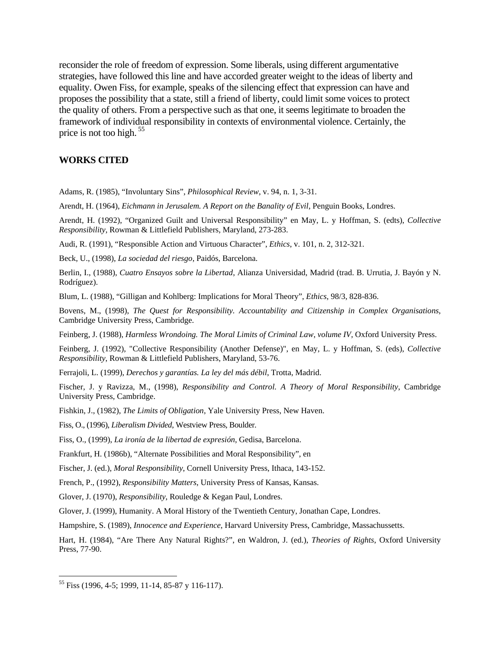reconsider the role of freedom of expression. Some liberals, using different argumentative strategies, have followed this line and have accorded greater weight to the ideas of liberty and equality. Owen Fiss, for example, speaks of the silencing effect that expression can have and proposes the possibility that a state, still a friend of liberty, could limit some voices to protect the quality of others. From a perspective such as that one, it seems legitimate to broaden the framework of individual responsibility in contexts of environmental violence. Certainly, the price is not too high. 55

# **WORKS CITED**

Adams, R. (1985), "Involuntary Sins", *Philosophical Review*, v. 94, n. 1, 3-31.

Arendt, H. (1964), *Eichmann in Jerusalem. A Report on the Banality of Evil*, Penguin Books, Londres.

Arendt, H. (1992), "Organized Guilt and Universal Responsibility" en May, L. y Hoffman, S. (edts), *Collective Responsibility*, Rowman & Littlefield Publishers, Maryland, 273-283.

Audi, R. (1991), "Responsible Action and Virtuous Character", *Ethics*, v. 101, n. 2, 312-321.

Beck, U., (1998), *La sociedad del riesgo*, Paidós, Barcelona.

Berlin, I., (1988), *Cuatro Ensayos sobre la Libertad*, Alianza Universidad, Madrid (trad. B. Urrutia, J. Bayón y N. Rodríguez).

Blum, L. (1988), "Gilligan and Kohlberg: Implications for Moral Theory", *Ethics*, 98/3, 828-836.

Bovens, M., (1998), *The Quest for Responsibility. Accountability and Citizenship in Complex Organisations*, Cambridge University Press, Cambridge.

Feinberg, J. (1988), *Harmless Wrondoing. The Moral Limits of Criminal Law*, *volume IV*, Oxford University Press.

Feinberg, J. (1992), "Collective Responsibility (Another Defense)", en May, L. y Hoffman, S. (eds), *Collective Responsibility*, Rowman & Littlefield Publishers, Maryland, 53-76.

Ferrajoli, L. (1999), *Derechos y garantías. La ley del más débil*, Trotta, Madrid.

Fischer, J. y Ravizza, M., (1998), *Responsibility and Control. A Theory of Moral Responsibility*, Cambridge University Press, Cambridge.

Fishkin, J., (1982), *The Limits of Obligation*, Yale University Press, New Haven.

Fiss, O., (1996), *Liberalism Divided*, Westview Press, Boulder.

Fiss, O., (1999), *La ironía de la libertad de expresión*, Gedisa, Barcelona.

Frankfurt, H. (1986b), "Alternate Possibilities and Moral Responsibility", en

Fischer, J. (ed.), *Moral Responsibility*, Cornell University Press, Ithaca, 143-152.

French, P., (1992), *Responsibility Matters*, University Press of Kansas, Kansas.

Glover, J. (1970), *Responsibility*, Rouledge & Kegan Paul, Londres.

Glover, J. (1999), Humanity. A Moral History of the Twentieth Century, Jonathan Cape, Londres.

Hampshire, S. (1989), *Innocence and Experience*, Harvard University Press, Cambridge, Massachussetts.

Hart, H. (1984), "Are There Any Natural Rights?", en Waldron, J. (ed.), *Theories of Rights*, Oxford University Press, 77-90.

<sup>55</sup> Fiss (1996, 4-5; 1999, 11-14, 85-87 y 116-117).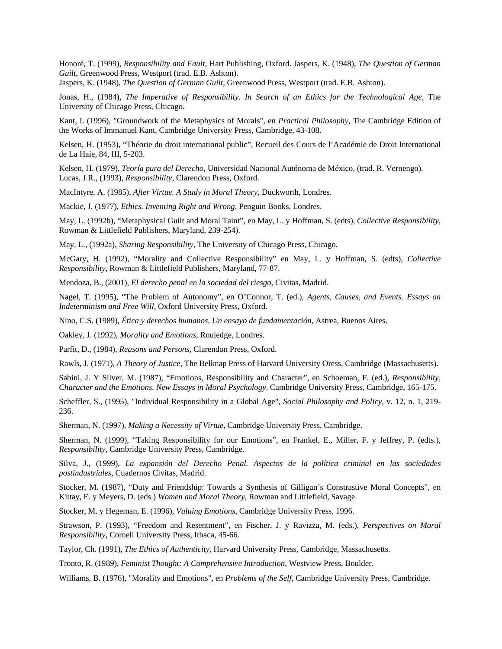Honoré, T. (1999), *Responsibility and Fault*, Hart Publishing, Oxford. Jaspers, K. (1948), *The Question of German Guilt*, Greenwood Press, Westport (trad. E.B. Ashton).

Jaspers, K. (1948), *The Question of German Guilt*, Greenwood Press, Westport (trad. E.B. Ashton).

Jonas, H., (1984), *The Imperative of Responsibility. In Search of an Ethics for the Technological Age*, The University of Chicago Press, Chicago.

Kant, I. (1996), "Groundwork of the Metaphysics of Morals", en *Practical Philosophy*, The Cambridge Edition of the Works of Immanuel Kant, Cambridge University Press, Cambridge, 43-108.

Kelsen, H. (1953), "Théorie du droit international public", Recueil des Cours de l'Académie de Droit International de La Haie, 84, III, 5-203.

Kelsen, H. (1979), *Teoría pura del Derecho*, Universidad Nacional Autónoma de México, (trad. R. Vernengo). Lucas, J.R., (1993), *Responsibility*, Clarendon Press, Oxford.

MacIntyre, A. (1985), *After Virtue. A Study in Moral Theory*, Duckworth, Londres.

Mackie, J. (1977), *Ethics. Inventing Right and Wrong*, Penguin Books, Londres.

May, L. (1992b), "Metaphysical Guilt and Moral Taint", en May, L. y Hoffman, S. (edts), *Collective Responsibility*, Rowman & Littlefield Publishers, Maryland, 239-254).

May, L., (1992a), *Sharing Responsibility*, The University of Chicago Press, Chicago.

McGary, H. (1992), "Morality and Collective Responsibility" en May, L. y Hoffman, S. (edts), *Collective Responsibility*, Rowman & Littlefield Publishers, Maryland, 77-87.

Mendoza, B., (2001), *El derecho penal en la sociedad del riesgo*, Civitas, Madrid.

Nagel, T. (1995), "The Problem of Autonomy", en O'Connor, T. (ed.), *Agents, Causes, and Events. Essays on Indeterminism and Free Will*, Oxford University Press, Oxford.

Nino, C.S. (1989), *Ética y derechos humanos. Un ensayo de fundamentación*, Astrea, Buenos Aires.

Oakley, J. (1992), *Morality and Emotions*, Rouledge, Londres.

Parfit, D., (1984), *Reasons and Persons*, Clarendon Press, Oxford.

Rawls, J. (1971), *A Theory of Justice*, The Belknap Press of Harvard University Oress, Cambridge (Massachusetts).

Sabini, J. Y Silver, M. (1987), "Emotions, Responsibility and Character", en Schoeman, F. (ed.), *Responsibility, Character and the Emotions. New Essays in Moral Psychology,* Cambridge University Press, Cambridge, 165-175.

Scheffler, S., (1995), "Individual Responsibility in a Global Age", *Social Philosophy and Policy*, v. 12, n. 1, 219- 236.

Sherman, N. (1997), *Making a Necessity of Virtue*, Cambridge University Press, Cambridge.

Sherman, N. (1999), "Taking Responsibility for our Emotions", en Frankel, E., Miller, F. y Jeffrey, P. (edts.), *Responsibility*, Cambridge University Press, Cambridge.

Silva, J., (1999), *La expansión del Derecho Penal. Aspectos de la política criminal en las sociedades postindustriales*, Cuadernos Civitas, Madrid.

Stocker, M. (1987), "Duty and Friendship: Towards a Synthesis of Gilligan's Constrastive Moral Concepts", en Kittay, E. y Meyers, D. (eds.) *Women and Moral Theory*, Rowman and Littlefield, Savage.

Stocker, M. y Hegeman, E. (1996), *Valuing Emotions*, Cambridge University Press, 1996.

Strawson, P. (1993), "Freedom and Resentment", en Fischer, J. y Ravizza, M. (eds.), *Perspectives on Moral Responsibility*, Cornell University Press, Ithaca, 45-66.

Taylor, Ch. (1991), *The Ethics of Authenticity*, Harvard University Press, Cambridge, Massachusetts.

Tronto, R. (1989), *Feminist Thought: A Comprehensive Introduction*, Westview Press, Boulder.

Williams, B. (1976), "Morality and Emotions", en *Problems of the Self*, Cambridge University Press, Cambridge.